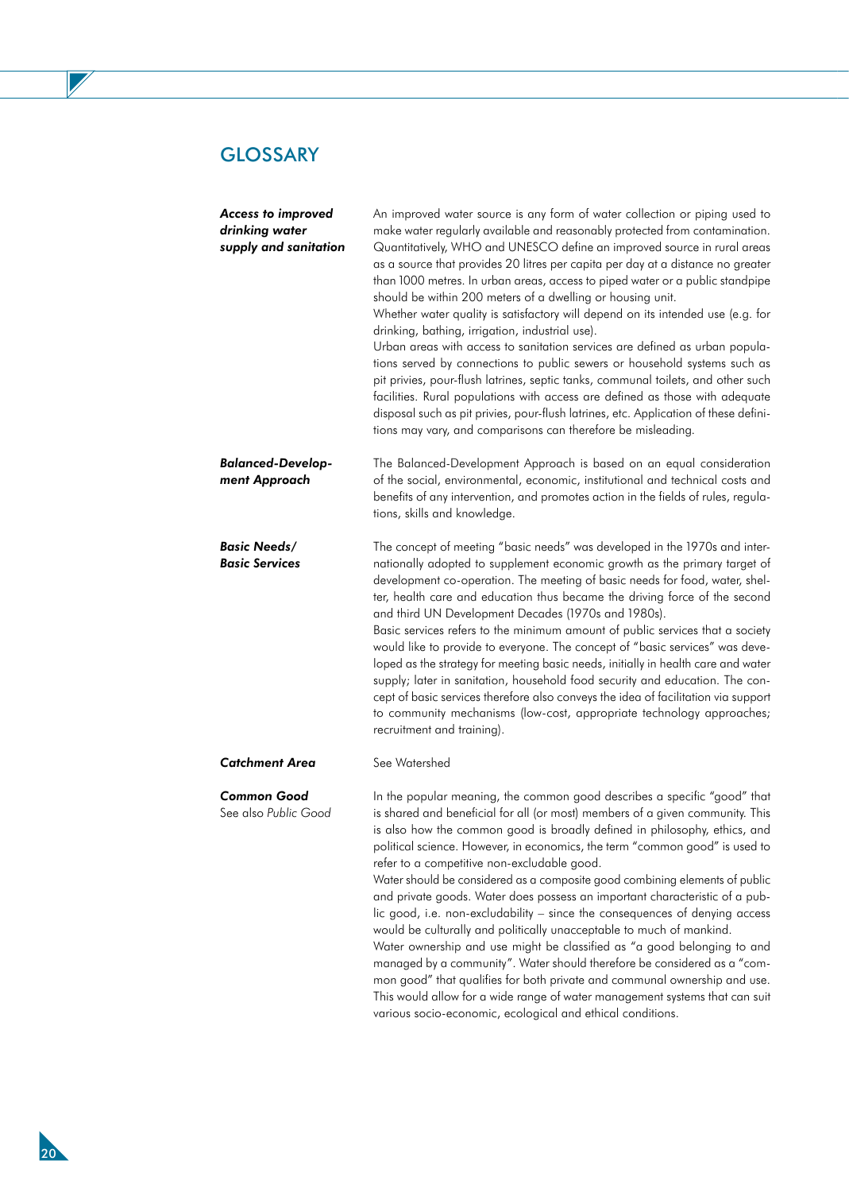Z

| <b>Access to improved</b><br>drinking water<br>supply and sanitation | An improved water source is any form of water collection or piping used to<br>make water regularly available and reasonably protected from contamination.<br>Quantitatively, WHO and UNESCO define an improved source in rural areas<br>as a source that provides 20 litres per capita per day at a distance no greater<br>than 1000 metres. In urban areas, access to piped water or a public standpipe<br>should be within 200 meters of a dwelling or housing unit.<br>Whether water quality is satisfactory will depend on its intended use (e.g. for<br>drinking, bathing, irrigation, industrial use).<br>Urban areas with access to sanitation services are defined as urban popula-<br>tions served by connections to public sewers or household systems such as<br>pit privies, pour-flush latrines, septic tanks, communal toilets, and other such<br>facilities. Rural populations with access are defined as those with adequate<br>disposal such as pit privies, pour-flush latrines, etc. Application of these defini-<br>tions may vary, and comparisons can therefore be misleading. |
|----------------------------------------------------------------------|------------------------------------------------------------------------------------------------------------------------------------------------------------------------------------------------------------------------------------------------------------------------------------------------------------------------------------------------------------------------------------------------------------------------------------------------------------------------------------------------------------------------------------------------------------------------------------------------------------------------------------------------------------------------------------------------------------------------------------------------------------------------------------------------------------------------------------------------------------------------------------------------------------------------------------------------------------------------------------------------------------------------------------------------------------------------------------------------------|
| <b>Balanced-Develop-</b><br>ment Approach                            | The Balanced-Development Approach is based on an equal consideration<br>of the social, environmental, economic, institutional and technical costs and<br>benefits of any intervention, and promotes action in the fields of rules, regula-<br>tions, skills and knowledge.                                                                                                                                                                                                                                                                                                                                                                                                                                                                                                                                                                                                                                                                                                                                                                                                                           |
| <b>Basic Needs/</b><br><b>Basic Services</b>                         | The concept of meeting "basic needs" was developed in the 1970s and inter-<br>nationally adopted to supplement economic growth as the primary target of<br>development co-operation. The meeting of basic needs for food, water, shel-<br>ter, health care and education thus became the driving force of the second<br>and third UN Development Decades (1970s and 1980s).<br>Basic services refers to the minimum amount of public services that a society<br>would like to provide to everyone. The concept of "basic services" was deve-<br>loped as the strategy for meeting basic needs, initially in health care and water<br>supply; later in sanitation, household food security and education. The con-<br>cept of basic services therefore also conveys the idea of facilitation via support<br>to community mechanisms (low-cost, appropriate technology approaches;<br>recruitment and training).                                                                                                                                                                                       |
| <b>Catchment Area</b>                                                | See Watershed                                                                                                                                                                                                                                                                                                                                                                                                                                                                                                                                                                                                                                                                                                                                                                                                                                                                                                                                                                                                                                                                                        |
| <b>Common Good</b><br>See also Public Good                           | In the popular meaning, the common good describes a specific "good" that<br>is shared and beneficial for all (or most) members of a given community. This<br>is also how the common good is broadly defined in philosophy, ethics, and<br>political science. However, in economics, the term "common good" is used to<br>refer to a competitive non-excludable good.<br>Water should be considered as a composite good combining elements of public<br>and private goods. Water does possess an important characteristic of a pub-<br>lic good, i.e. non-excludability - since the consequences of denying access<br>would be culturally and politically unacceptable to much of mankind.<br>Water ownership and use might be classified as "a good belonging to and<br>managed by a community". Water should therefore be considered as a "com-<br>mon good" that qualifies for both private and communal ownership and use.<br>This would allow for a wide range of water management systems that can suit                                                                                         |

various socio-economic, ecological and ethical conditions.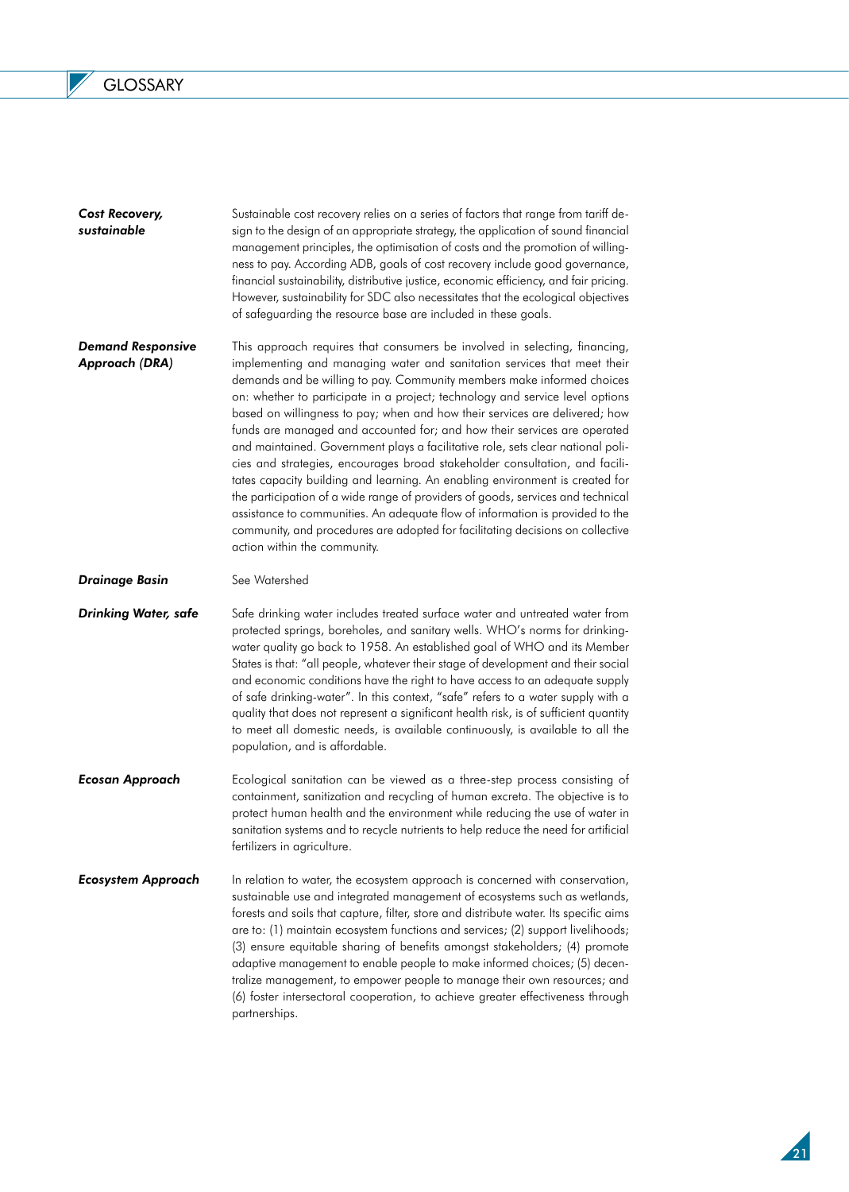$\overline{\phantom{a}}$ 

| Cost Recovery,<br>sustainable              | Sustainable cost recovery relies on a series of factors that range from tariff de-<br>sign to the design of an appropriate strategy, the application of sound financial<br>management principles, the optimisation of costs and the promotion of willing-<br>ness to pay. According ADB, goals of cost recovery include good governance,<br>financial sustainability, distributive justice, economic efficiency, and fair pricing.<br>However, sustainability for SDC also necessitates that the ecological objectives<br>of safeguarding the resource base are included in these goals.                                                                                                                                                                                                                                                                                                                                                                                                                            |
|--------------------------------------------|---------------------------------------------------------------------------------------------------------------------------------------------------------------------------------------------------------------------------------------------------------------------------------------------------------------------------------------------------------------------------------------------------------------------------------------------------------------------------------------------------------------------------------------------------------------------------------------------------------------------------------------------------------------------------------------------------------------------------------------------------------------------------------------------------------------------------------------------------------------------------------------------------------------------------------------------------------------------------------------------------------------------|
| <b>Demand Responsive</b><br>Approach (DRA) | This approach requires that consumers be involved in selecting, financing,<br>implementing and managing water and sanitation services that meet their<br>demands and be willing to pay. Community members make informed choices<br>on: whether to participate in a project; technology and service level options<br>based on willingness to pay; when and how their services are delivered; how<br>funds are managed and accounted for; and how their services are operated<br>and maintained. Government plays a facilitative role, sets clear national poli-<br>cies and strategies, encourages broad stakeholder consultation, and facili-<br>tates capacity building and learning. An enabling environment is created for<br>the participation of a wide range of providers of goods, services and technical<br>assistance to communities. An adequate flow of information is provided to the<br>community, and procedures are adopted for facilitating decisions on collective<br>action within the community. |
| <b>Drainage Basin</b>                      | See Watershed                                                                                                                                                                                                                                                                                                                                                                                                                                                                                                                                                                                                                                                                                                                                                                                                                                                                                                                                                                                                       |
| <b>Drinking Water, safe</b>                | Safe drinking water includes treated surface water and untreated water from<br>protected springs, boreholes, and sanitary wells. WHO's norms for drinking-<br>water quality go back to 1958. An established goal of WHO and its Member<br>States is that: "all people, whatever their stage of development and their social<br>and economic conditions have the right to have access to an adequate supply<br>of safe drinking-water". In this context, "safe" refers to a water supply with a<br>quality that does not represent a significant health risk, is of sufficient quantity<br>to meet all domestic needs, is available continuously, is available to all the<br>population, and is affordable.                                                                                                                                                                                                                                                                                                          |
| <b>Ecosan Approach</b>                     | Ecological sanitation can be viewed as a three-step process consisting of<br>containment, sanitization and recycling of human excreta. The objective is to<br>protect human health and the environment while reducing the use of water in<br>sanitation systems and to recycle nutrients to help reduce the need for artificial<br>fertilizers in agriculture.                                                                                                                                                                                                                                                                                                                                                                                                                                                                                                                                                                                                                                                      |
| <b>Ecosystem Approach</b>                  | In relation to water, the ecosystem approach is concerned with conservation,<br>sustainable use and integrated management of ecosystems such as wetlands,<br>forests and soils that capture, filter, store and distribute water. Its specific aims<br>are to: (1) maintain ecosystem functions and services; (2) support livelihoods;<br>(3) ensure equitable sharing of benefits amongst stakeholders; (4) promote<br>adaptive management to enable people to make informed choices; (5) decen-<br>tralize management, to empower people to manage their own resources; and<br>(6) foster intersectoral cooperation, to achieve greater effectiveness through<br>partnerships.                                                                                                                                                                                                                                                                                                                                     |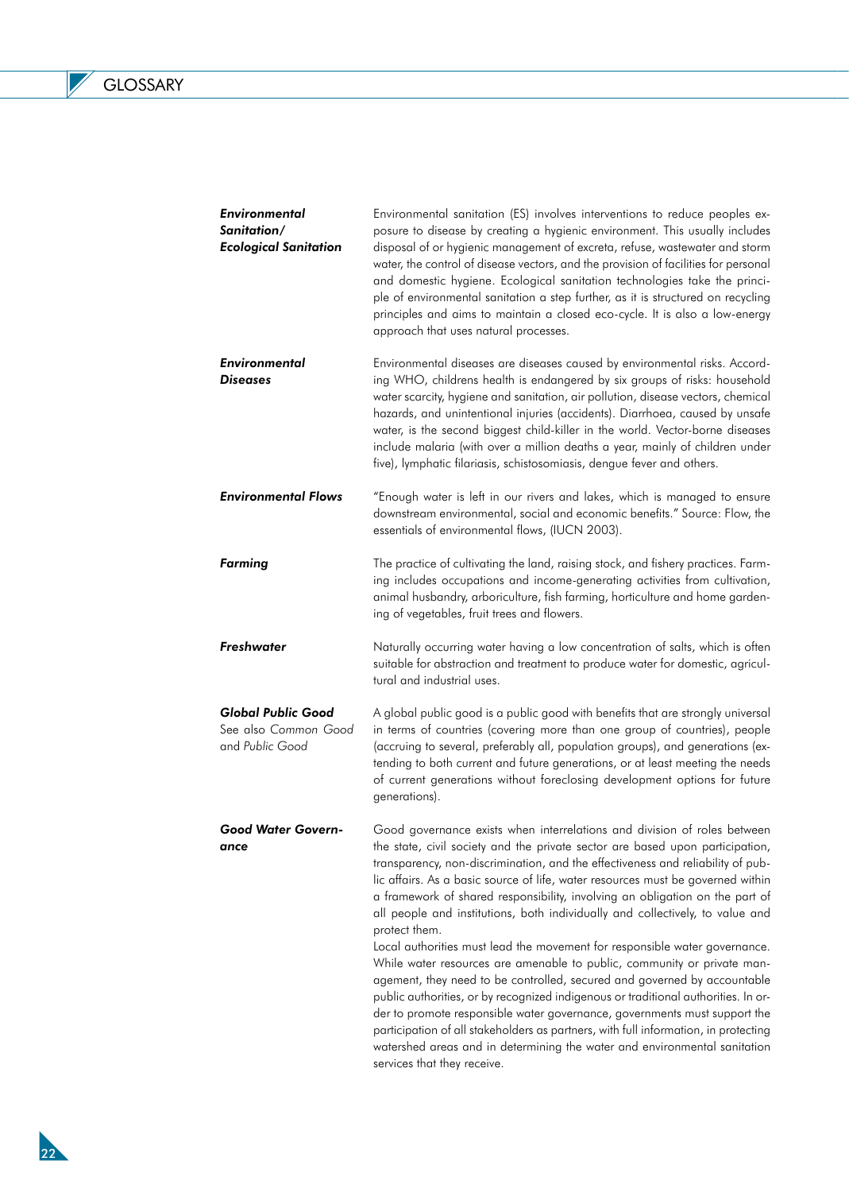$\overline{\phantom{a}}$ 

| <b>Environmental</b><br>Sanitation/<br><b>Ecological Sanitation</b>  | Environmental sanitation (ES) involves interventions to reduce peoples ex-<br>posure to disease by creating a hygienic environment. This usually includes<br>disposal of or hygienic management of excreta, refuse, wastewater and storm<br>water, the control of disease vectors, and the provision of facilities for personal<br>and domestic hygiene. Ecological sanitation technologies take the princi-<br>ple of environmental sanitation a step further, as it is structured on recycling<br>principles and aims to maintain a closed eco-cycle. It is also a low-energy<br>approach that uses natural processes.                                                                                                                                                                                                                                                                                                                                                                                                                                                                                                     |
|----------------------------------------------------------------------|------------------------------------------------------------------------------------------------------------------------------------------------------------------------------------------------------------------------------------------------------------------------------------------------------------------------------------------------------------------------------------------------------------------------------------------------------------------------------------------------------------------------------------------------------------------------------------------------------------------------------------------------------------------------------------------------------------------------------------------------------------------------------------------------------------------------------------------------------------------------------------------------------------------------------------------------------------------------------------------------------------------------------------------------------------------------------------------------------------------------------|
| <b>Environmental</b><br><b>Diseases</b>                              | Environmental diseases are diseases caused by environmental risks. Accord-<br>ing WHO, childrens health is endangered by six groups of risks: household<br>water scarcity, hygiene and sanitation, air pollution, disease vectors, chemical<br>hazards, and unintentional injuries (accidents). Diarrhoea, caused by unsafe<br>water, is the second biggest child-killer in the world. Vector-borne diseases<br>include malaria (with over a million deaths a year, mainly of children under<br>five), lymphatic filariasis, schistosomiasis, dengue fever and others.                                                                                                                                                                                                                                                                                                                                                                                                                                                                                                                                                       |
| <b>Environmental Flows</b>                                           | "Enough water is left in our rivers and lakes, which is managed to ensure<br>downstream environmental, social and economic benefits." Source: Flow, the<br>essentials of environmental flows, (IUCN 2003).                                                                                                                                                                                                                                                                                                                                                                                                                                                                                                                                                                                                                                                                                                                                                                                                                                                                                                                   |
| <b>Farming</b>                                                       | The practice of cultivating the land, raising stock, and fishery practices. Farm-<br>ing includes occupations and income-generating activities from cultivation,<br>animal husbandry, arboriculture, fish farming, horticulture and home garden-<br>ing of vegetables, fruit trees and flowers.                                                                                                                                                                                                                                                                                                                                                                                                                                                                                                                                                                                                                                                                                                                                                                                                                              |
| <b>Freshwater</b>                                                    | Naturally occurring water having a low concentration of salts, which is often<br>suitable for abstraction and treatment to produce water for domestic, agricul-<br>tural and industrial uses.                                                                                                                                                                                                                                                                                                                                                                                                                                                                                                                                                                                                                                                                                                                                                                                                                                                                                                                                |
| <b>Global Public Good</b><br>See also Common Good<br>and Public Good | A global public good is a public good with benefits that are strongly universal<br>in terms of countries (covering more than one group of countries), people<br>(accruing to several, preferably all, population groups), and generations (ex-<br>tending to both current and future generations, or at least meeting the needs<br>of current generations without foreclosing development options for future<br>generations).                                                                                                                                                                                                                                                                                                                                                                                                                                                                                                                                                                                                                                                                                                |
| Good Water Govern-<br>ance                                           | Good governance exists when interrelations and division of roles between<br>the state, civil society and the private sector are based upon participation,<br>transparency, non-discrimination, and the effectiveness and reliability of pub-<br>lic affairs. As a basic source of life, water resources must be governed within<br>a framework of shared responsibility, involving an obligation on the part of<br>all people and institutions, both individually and collectively, to value and<br>protect them.<br>Local authorities must lead the movement for responsible water governance.<br>While water resources are amenable to public, community or private man-<br>agement, they need to be controlled, secured and governed by accountable<br>public authorities, or by recognized indigenous or traditional authorities. In or-<br>der to promote responsible water governance, governments must support the<br>participation of all stakeholders as partners, with full information, in protecting<br>watershed areas and in determining the water and environmental sanitation<br>services that they receive. |

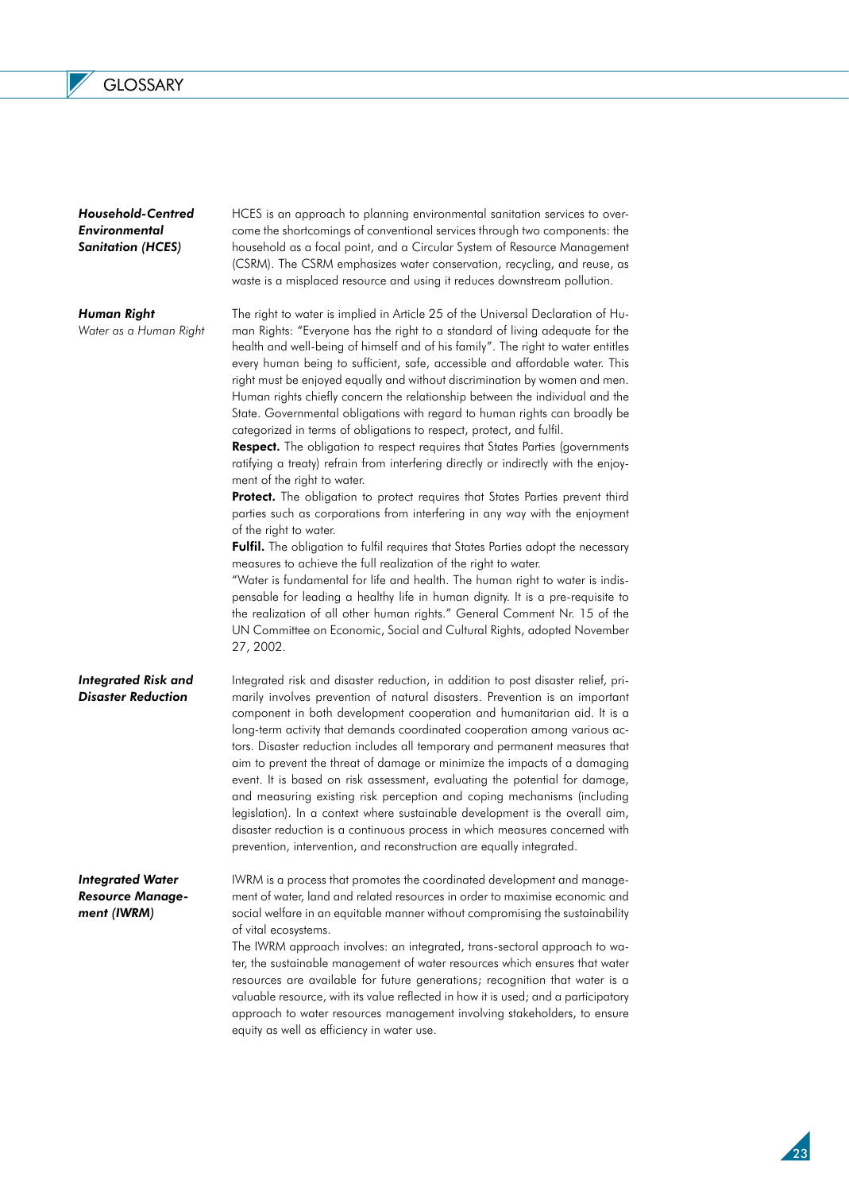*Household-Centred Environmental Sanitation (HCES)*

*Human Right* 

*Water as a Human Right*

HCES is an approach to planning environmental sanitation services to overcome the shortcomings of conventional services through two components: the household as a focal point, and a Circular System of Resource Management (CSRM). The CSRM emphasizes water conservation, recycling, and reuse, as waste is a misplaced resource and using it reduces downstream pollution.

The right to water is implied in Article 25 of the Universal Declaration of Human Rights: "Everyone has the right to a standard of living adequate for the health and well-being of himself and of his family". The right to water entitles every human being to sufficient, safe, accessible and affordable water. This right must be enjoyed equally and without discrimination by women and men. Human rights chiefly concern the relationship between the individual and the State. Governmental obligations with regard to human rights can broadly be categorized in terms of obligations to respect, protect, and fulfil.

Respect. The obligation to respect requires that States Parties (governments ratifying a treaty) refrain from interfering directly or indirectly with the enjoyment of the right to water.

Protect. The obligation to protect requires that States Parties prevent third parties such as corporations from interfering in any way with the enjoyment of the right to water.

**Fulfil.** The obligation to fulfil requires that States Parties adopt the necessary measures to achieve the full realization of the right to water.

"Water is fundamental for life and health. The human right to water is indispensable for leading a healthy life in human dignity. It is a pre-requisite to the realization of all other human rights." General Comment Nr. 15 of the UN Committee on Economic, Social and Cultural Rights, adopted November 27, 2002.

*Integrated Risk and Disaster Reduction*  Integrated risk and disaster reduction, in addition to post disaster relief, primarily involves prevention of natural disasters. Prevention is an important component in both development cooperation and humanitarian aid. It is a long-term activity that demands coordinated cooperation among various actors. Disaster reduction includes all temporary and permanent measures that aim to prevent the threat of damage or minimize the impacts of a damaging event. It is based on risk assessment, evaluating the potential for damage, and measuring existing risk perception and coping mechanisms (including legislation). In a context where sustainable development is the overall aim, disaster reduction is a continuous process in which measures concerned with prevention, intervention, and reconstruction are equally integrated.

*Integrated Water Resource Management (IWRM)*

IWRM is a process that promotes the coordinated development and management of water, land and related resources in order to maximise economic and social welfare in an equitable manner without compromising the sustainability of vital ecosystems.

The IWRM approach involves: an integrated, trans-sectoral approach to water, the sustainable management of water resources which ensures that water resources are available for future generations; recognition that water is a valuable resource, with its value reflected in how it is used; and a participatory approach to water resources management involving stakeholders, to ensure equity as well as efficiency in water use.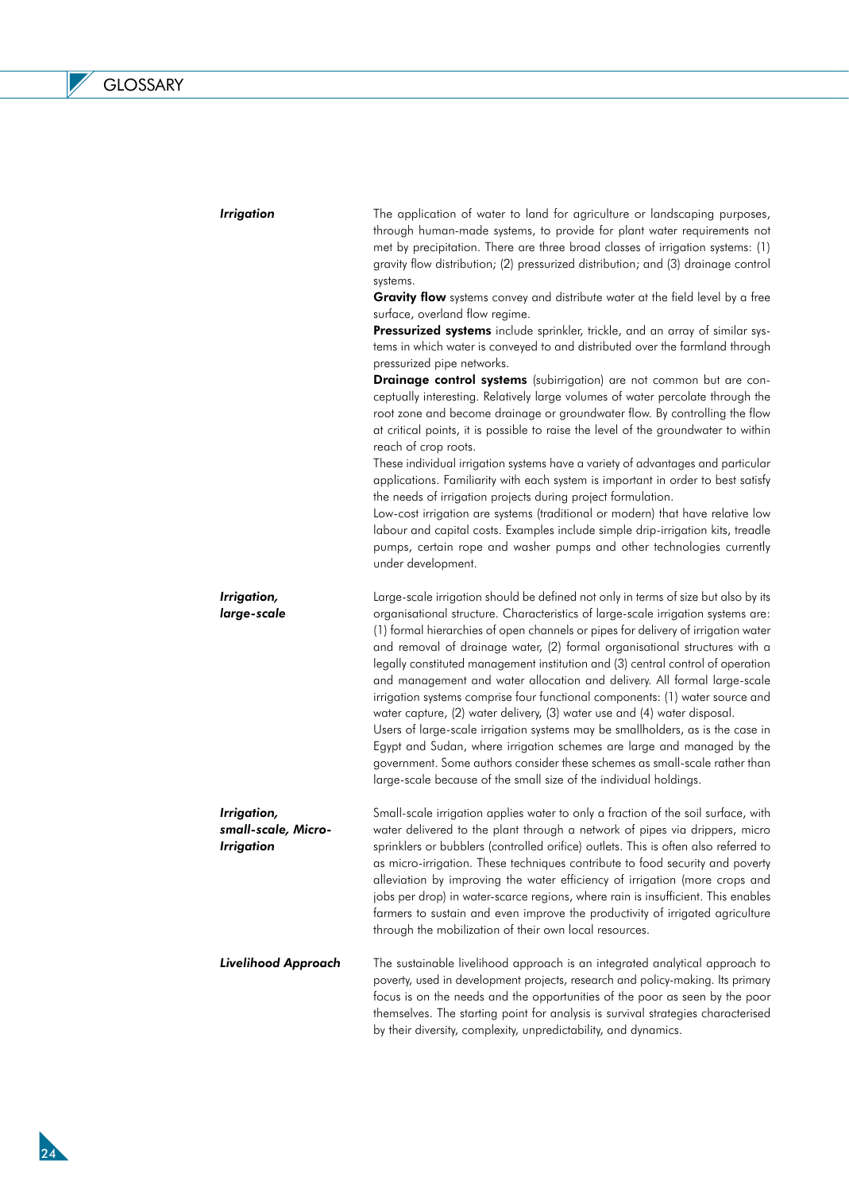$\overline{\phantom{a}}$ 

| <b>Irrigation</b>                                       | The application of water to land for agriculture or landscaping purposes,<br>through human-made systems, to provide for plant water requirements not<br>met by precipitation. There are three broad classes of irrigation systems: (1)<br>gravity flow distribution; (2) pressurized distribution; and (3) drainage control<br>systems.<br>Gravity flow systems convey and distribute water at the field level by a free<br>surface, overland flow regime.<br>Pressurized systems include sprinkler, trickle, and an array of similar sys-<br>tems in which water is conveyed to and distributed over the farmland through<br>pressurized pipe networks.<br>Drainage control systems (subirrigation) are not common but are con-<br>ceptually interesting. Relatively large volumes of water percolate through the<br>root zone and become drainage or groundwater flow. By controlling the flow<br>at critical points, it is possible to raise the level of the groundwater to within<br>reach of crop roots.<br>These individual irrigation systems have a variety of advantages and particular<br>applications. Familiarity with each system is important in order to best satisfy<br>the needs of irrigation projects during project formulation.<br>Low-cost irrigation are systems (traditional or modern) that have relative low<br>labour and capital costs. Examples include simple drip-irrigation kits, treadle<br>pumps, certain rope and washer pumps and other technologies currently<br>under development. |
|---------------------------------------------------------|---------------------------------------------------------------------------------------------------------------------------------------------------------------------------------------------------------------------------------------------------------------------------------------------------------------------------------------------------------------------------------------------------------------------------------------------------------------------------------------------------------------------------------------------------------------------------------------------------------------------------------------------------------------------------------------------------------------------------------------------------------------------------------------------------------------------------------------------------------------------------------------------------------------------------------------------------------------------------------------------------------------------------------------------------------------------------------------------------------------------------------------------------------------------------------------------------------------------------------------------------------------------------------------------------------------------------------------------------------------------------------------------------------------------------------------------------------------------------------------------------------------------------|
| Irrigation,<br>large-scale                              | Large-scale irrigation should be defined not only in terms of size but also by its<br>organisational structure. Characteristics of large-scale irrigation systems are:<br>(1) formal hierarchies of open channels or pipes for delivery of irrigation water<br>and removal of drainage water, (2) formal organisational structures with a<br>legally constituted management institution and (3) central control of operation<br>and management and water allocation and delivery. All formal large-scale<br>irrigation systems comprise four functional components: (1) water source and<br>water capture, (2) water delivery, (3) water use and (4) water disposal.<br>Users of large-scale irrigation systems may be smallholders, as is the case in<br>Egypt and Sudan, where irrigation schemes are large and managed by the<br>government. Some authors consider these schemes as small-scale rather than<br>large-scale because of the small size of the individual holdings.                                                                                                                                                                                                                                                                                                                                                                                                                                                                                                                                       |
| Irrigation,<br>small-scale, Micro-<br><b>Irrigation</b> | Small-scale irrigation applies water to only a fraction of the soil surface, with<br>water delivered to the plant through a network of pipes via drippers, micro<br>sprinklers or bubblers (controlled orifice) outlets. This is often also referred to<br>as micro-irrigation. These techniques contribute to food security and poverty<br>alleviation by improving the water efficiency of irrigation (more crops and<br>jobs per drop) in water-scarce regions, where rain is insufficient. This enables<br>farmers to sustain and even improve the productivity of irrigated agriculture<br>through the mobilization of their own local resources.                                                                                                                                                                                                                                                                                                                                                                                                                                                                                                                                                                                                                                                                                                                                                                                                                                                                    |
| <b>Livelihood Approach</b>                              | The sustainable livelihood approach is an integrated analytical approach to<br>poverty, used in development projects, research and policy-making. Its primary<br>focus is on the needs and the opportunities of the poor as seen by the poor<br>themselves. The starting point for analysis is survival strategies characterised<br>by their diversity, complexity, unpredictability, and dynamics.                                                                                                                                                                                                                                                                                                                                                                                                                                                                                                                                                                                                                                                                                                                                                                                                                                                                                                                                                                                                                                                                                                                       |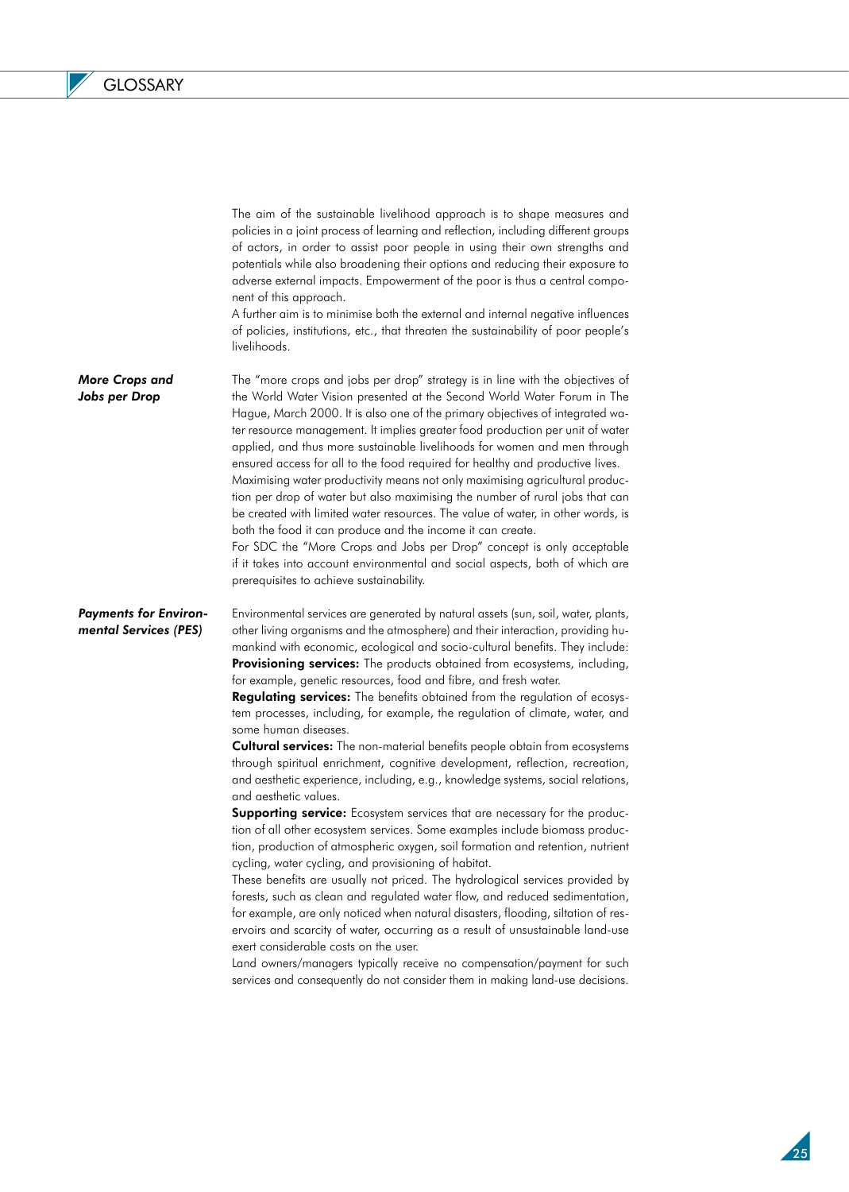$\overline{\phantom{a}}$ 

|                                                       | The aim of the sustainable livelihood approach is to shape measures and<br>policies in a joint process of learning and reflection, including different groups<br>of actors, in order to assist poor people in using their own strengths and<br>potentials while also broadening their options and reducing their exposure to<br>adverse external impacts. Empowerment of the poor is thus a central compo-<br>nent of this approach.<br>A further aim is to minimise both the external and internal negative influences<br>of policies, institutions, etc., that threaten the sustainability of poor people's<br>livelihoods.                                                                                                                                                                                                                                                                                                                                                                                                                                                                                                                                                                                                                                                                                                                                                                                                                                                                                                                                                                                                                                                                                              |
|-------------------------------------------------------|----------------------------------------------------------------------------------------------------------------------------------------------------------------------------------------------------------------------------------------------------------------------------------------------------------------------------------------------------------------------------------------------------------------------------------------------------------------------------------------------------------------------------------------------------------------------------------------------------------------------------------------------------------------------------------------------------------------------------------------------------------------------------------------------------------------------------------------------------------------------------------------------------------------------------------------------------------------------------------------------------------------------------------------------------------------------------------------------------------------------------------------------------------------------------------------------------------------------------------------------------------------------------------------------------------------------------------------------------------------------------------------------------------------------------------------------------------------------------------------------------------------------------------------------------------------------------------------------------------------------------------------------------------------------------------------------------------------------------|
| <b>More Crops and</b><br>Jobs per Drop                | The "more crops and jobs per drop" strategy is in line with the objectives of<br>the World Water Vision presented at the Second World Water Forum in The<br>Hague, March 2000. It is also one of the primary objectives of integrated wa-<br>ter resource management. It implies greater food production per unit of water<br>applied, and thus more sustainable livelihoods for women and men through<br>ensured access for all to the food required for healthy and productive lives.<br>Maximising water productivity means not only maximising agricultural produc-<br>tion per drop of water but also maximising the number of rural jobs that can<br>be created with limited water resources. The value of water, in other words, is<br>both the food it can produce and the income it can create.<br>For SDC the "More Crops and Jobs per Drop" concept is only acceptable<br>if it takes into account environmental and social aspects, both of which are<br>prerequisites to achieve sustainability.                                                                                                                                                                                                                                                                                                                                                                                                                                                                                                                                                                                                                                                                                                              |
| <b>Payments for Environ-</b><br>mental Services (PES) | Environmental services are generated by natural assets (sun, soil, water, plants,<br>other living organisms and the atmosphere) and their interaction, providing hu-<br>mankind with economic, ecological and socio-cultural benefits. They include:<br>Provisioning services: The products obtained from ecosystems, including,<br>for example, genetic resources, food and fibre, and fresh water.<br>Regulating services: The benefits obtained from the regulation of ecosys-<br>tem processes, including, for example, the regulation of climate, water, and<br>some human diseases.<br><b>Cultural services:</b> The non-material benefits people obtain from ecosystems<br>through spiritual enrichment, cognitive development, reflection, recreation,<br>and aesthetic experience, including, e.g., knowledge systems, social relations,<br>and aesthetic values.<br>Supporting service: Ecosystem services that are necessary for the produc-<br>tion of all other ecosystem services. Some examples include biomass produc-<br>tion, production of atmospheric oxygen, soil formation and retention, nutrient<br>cycling, water cycling, and provisioning of habitat.<br>These benefits are usually not priced. The hydrological services provided by<br>forests, such as clean and regulated water flow, and reduced sedimentation,<br>for example, are only noticed when natural disasters, flooding, siltation of res-<br>ervoirs and scarcity of water, occurring as a result of unsustainable land-use<br>exert considerable costs on the user.<br>Land owners/managers typically receive no compensation/payment for such<br>services and consequently do not consider them in making land-use decisions. |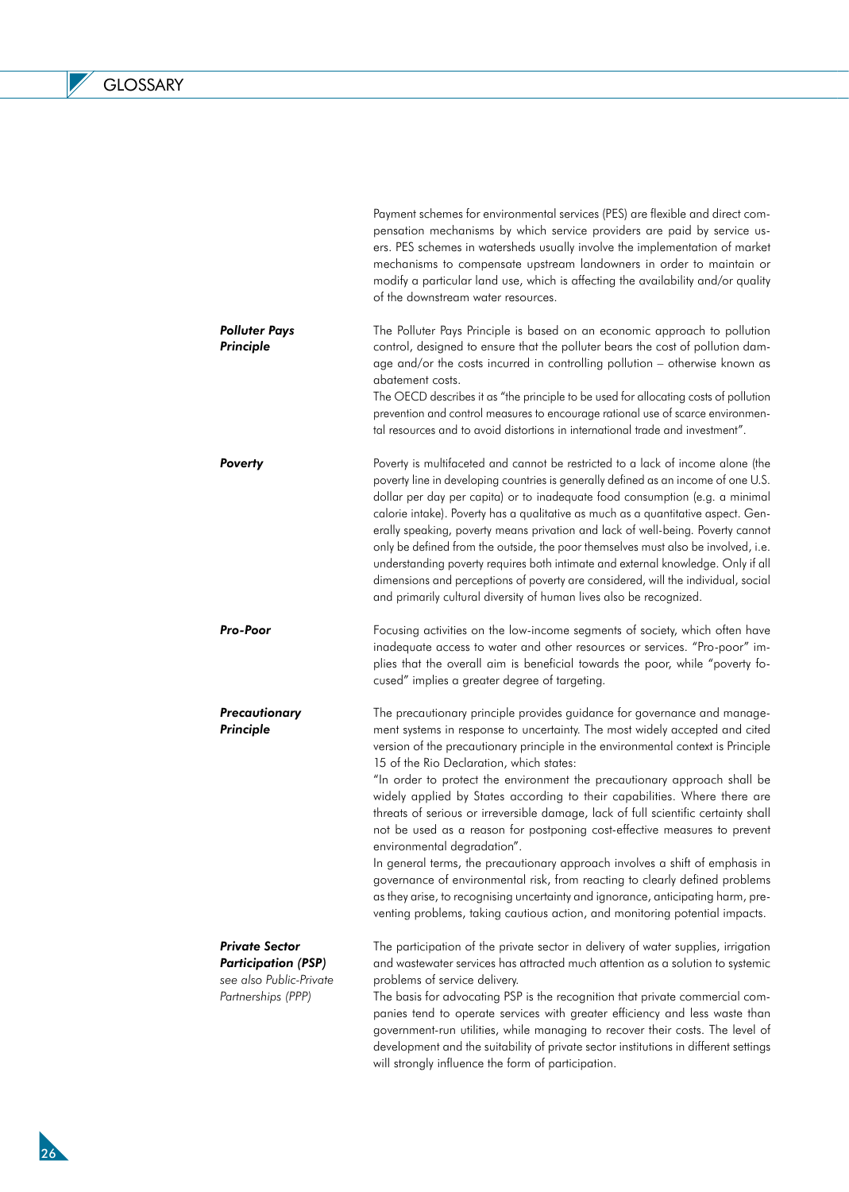|                                                                                                      | pensation mechanisms by which service providers are paid by service us-<br>ers. PES schemes in watersheds usually involve the implementation of market<br>mechanisms to compensate upstream landowners in order to maintain or<br>modify a particular land use, which is affecting the availability and/or quality<br>of the downstream water resources.                                                                                                                                                                                                                                                                                                                                                                                                                                                                                                                                                                                                                            |
|------------------------------------------------------------------------------------------------------|-------------------------------------------------------------------------------------------------------------------------------------------------------------------------------------------------------------------------------------------------------------------------------------------------------------------------------------------------------------------------------------------------------------------------------------------------------------------------------------------------------------------------------------------------------------------------------------------------------------------------------------------------------------------------------------------------------------------------------------------------------------------------------------------------------------------------------------------------------------------------------------------------------------------------------------------------------------------------------------|
| <b>Polluter Pays</b><br>Principle                                                                    | The Polluter Pays Principle is based on an economic approach to pollution<br>control, designed to ensure that the polluter bears the cost of pollution dam-<br>age and/or the costs incurred in controlling pollution - otherwise known as<br>abatement costs.                                                                                                                                                                                                                                                                                                                                                                                                                                                                                                                                                                                                                                                                                                                      |
|                                                                                                      | The OECD describes it as "the principle to be used for allocating costs of pollution<br>prevention and control measures to encourage rational use of scarce environmen-<br>tal resources and to avoid distortions in international trade and investment".                                                                                                                                                                                                                                                                                                                                                                                                                                                                                                                                                                                                                                                                                                                           |
| Poverty                                                                                              | Poverty is multifaceted and cannot be restricted to a lack of income alone (the<br>poverty line in developing countries is generally defined as an income of one U.S.<br>dollar per day per capita) or to inadequate food consumption (e.g. a minimal<br>calorie intake). Poverty has a qualitative as much as a quantitative aspect. Gen-<br>erally speaking, poverty means privation and lack of well-being. Poverty cannot<br>only be defined from the outside, the poor themselves must also be involved, i.e.<br>understanding poverty requires both intimate and external knowledge. Only if all<br>dimensions and perceptions of poverty are considered, will the individual, social<br>and primarily cultural diversity of human lives also be recognized.                                                                                                                                                                                                                  |
| Pro-Poor                                                                                             | Focusing activities on the low-income segments of society, which often have<br>inadequate access to water and other resources or services. "Pro-poor" im-<br>plies that the overall aim is beneficial towards the poor, while "poverty fo-<br>cused" implies a greater degree of targeting.                                                                                                                                                                                                                                                                                                                                                                                                                                                                                                                                                                                                                                                                                         |
| Precautionary<br>Principle                                                                           | The precautionary principle provides guidance for governance and manage-<br>ment systems in response to uncertainty. The most widely accepted and cited<br>version of the precautionary principle in the environmental context is Principle<br>15 of the Rio Declaration, which states:<br>"In order to protect the environment the precautionary approach shall be<br>widely applied by States according to their capabilities. Where there are<br>threats of serious or irreversible damage, lack of full scientific certainty shall<br>not be used as a reason for postponing cost-effective measures to prevent<br>environmental degradation"<br>In general terms, the precautionary approach involves a shift of emphasis in<br>governance of environmental risk, from reacting to clearly defined problems<br>as they arise, to recognising uncertainty and ignorance, anticipating harm, pre-<br>venting problems, taking cautious action, and monitoring potential impacts. |
| <b>Private Sector</b><br><b>Participation (PSP)</b><br>see also Public-Private<br>Partnerships (PPP) | The participation of the private sector in delivery of water supplies, irrigation<br>and wastewater services has attracted much attention as a solution to systemic<br>problems of service delivery.<br>The basis for advocating PSP is the recognition that private commercial com-<br>panies tend to operate services with greater efficiency and less waste than<br>government-run utilities, while managing to recover their costs. The level of<br>development and the suitability of private sector institutions in different settings<br>will strongly influence the form of participation.                                                                                                                                                                                                                                                                                                                                                                                  |

Payment schemes for environmental services (PES) are flexible and direct com-

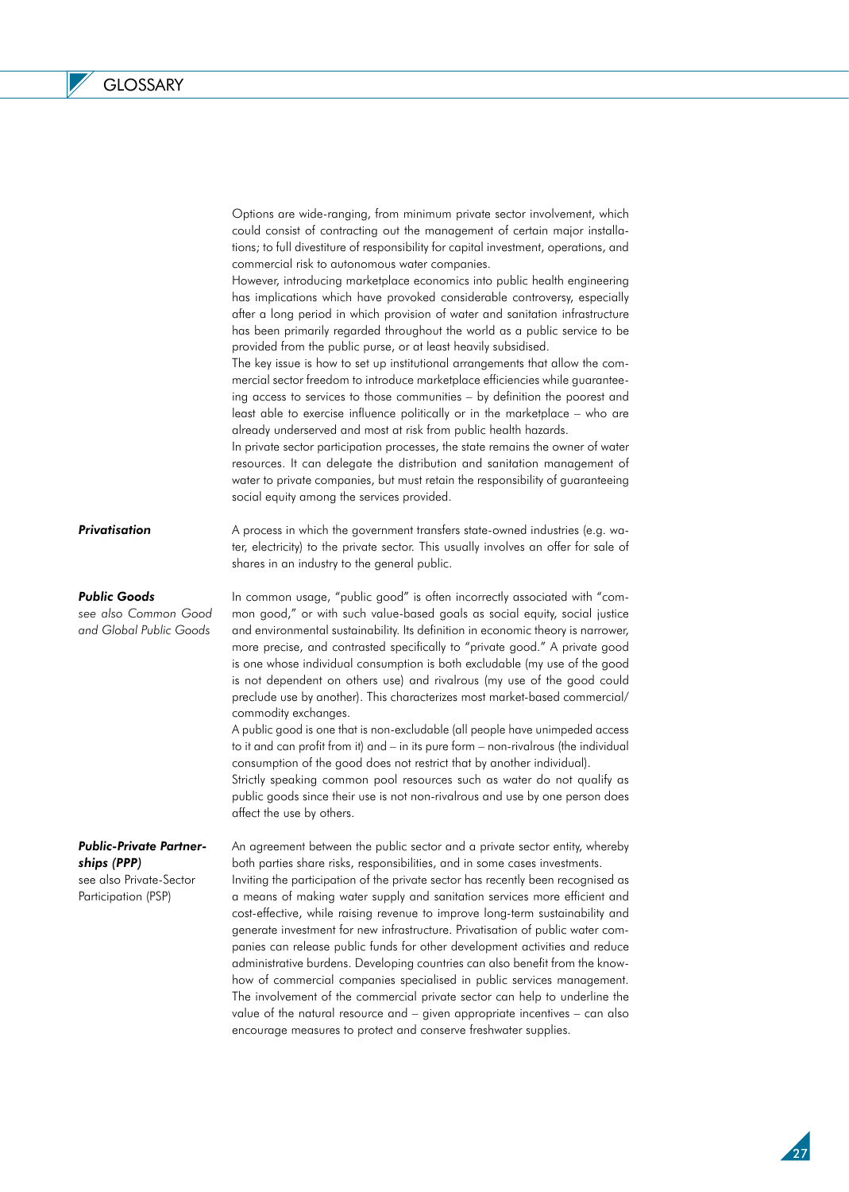Options are wide-ranging, from minimum private sector involvement, which could consist of contracting out the management of certain major installations; to full divestiture of responsibility for capital investment, operations, and commercial risk to autonomous water companies.

However, introducing marketplace economics into public health engineering has implications which have provoked considerable controversy, especially after a long period in which provision of water and sanitation infrastructure has been primarily regarded throughout the world as a public service to be provided from the public purse, or at least heavily subsidised.

The key issue is how to set up institutional arrangements that allow the commercial sector freedom to introduce marketplace efficiencies while guaranteeing access to services to those communities – by definition the poorest and least able to exercise influence politically or in the marketplace – who are already underserved and most at risk from public health hazards.

In private sector participation processes, the state remains the owner of water resources. It can delegate the distribution and sanitation management of water to private companies, but must retain the responsibility of guaranteeing social equity among the services provided.

*Privatisation*  A process in which the government transfers state-owned industries (e.g. water, electricity) to the private sector. This usually involves an offer for sale of shares in an industry to the general public.

#### *Public Goods*

*see also Common Good and Global Public Goods*

In common usage, "public good" is often incorrectly associated with "common good," or with such value-based goals as social equity, social justice and environmental sustainability. Its definition in economic theory is narrower, more precise, and contrasted specifically to "private good." A private good is one whose individual consumption is both excludable (my use of the good is not dependent on others use) and rivalrous (my use of the good could preclude use by another). This characterizes most market-based commercial/ commodity exchanges.

A public good is one that is non-excludable (all people have unimpeded access to it and can profit from it) and – in its pure form – non-rivalrous (the individual consumption of the good does not restrict that by another individual).

Strictly speaking common pool resources such as water do not qualify as public goods since their use is not non-rivalrous and use by one person does affect the use by others.

### *Public-Private Partnerships (PPP)*

see also Private-Sector Participation (PSP)

An agreement between the public sector and a private sector entity, whereby both parties share risks, responsibilities, and in some cases investments.

Inviting the participation of the private sector has recently been recognised as a means of making water supply and sanitation services more efficient and cost-effective, while raising revenue to improve long-term sustainability and generate investment for new infrastructure. Privatisation of public water companies can release public funds for other development activities and reduce administrative burdens. Developing countries can also benefit from the knowhow of commercial companies specialised in public services management. The involvement of the commercial private sector can help to underline the value of the natural resource and – given appropriate incentives – can also encourage measures to protect and conserve freshwater supplies.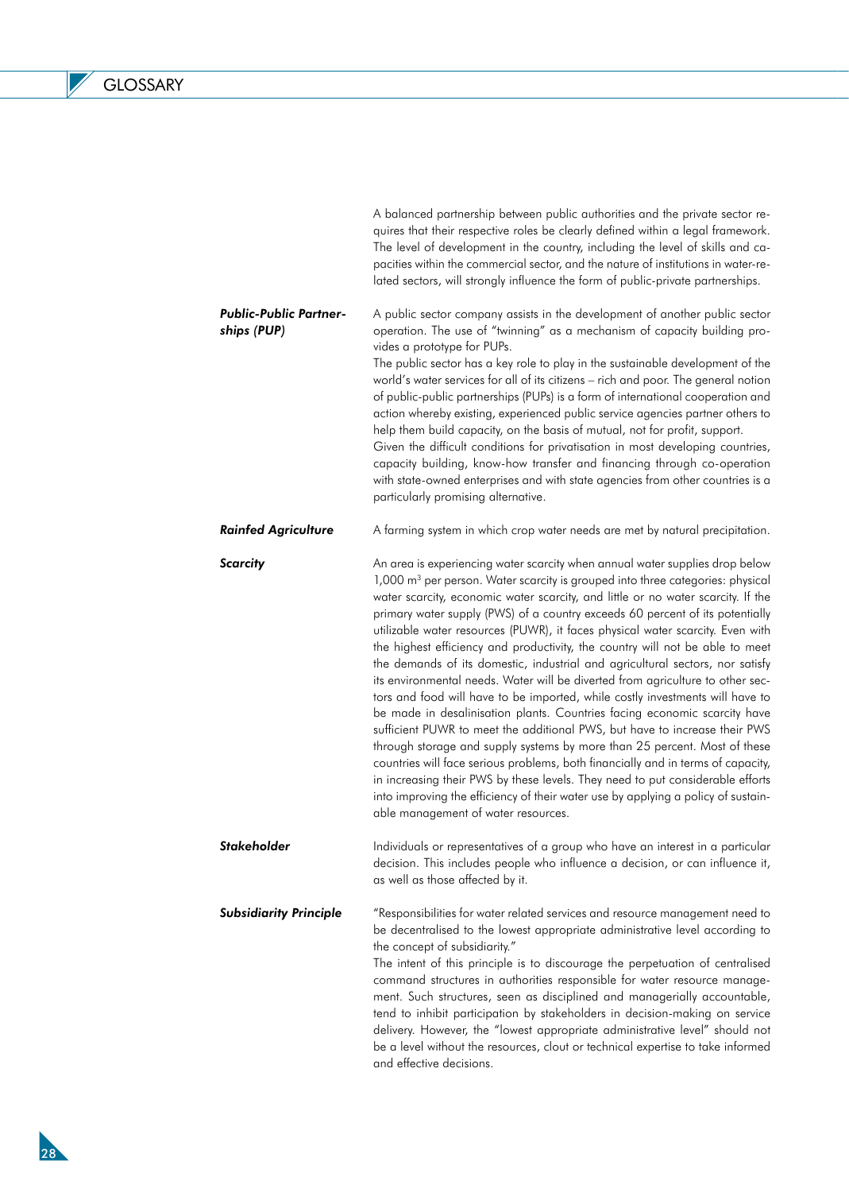$\mathbb L$ 

|                                              | quires that their respective roles be clearly defined within a legal framework.<br>The level of development in the country, including the level of skills and ca-<br>pacities within the commercial sector, and the nature of institutions in water-re-<br>lated sectors, will strongly influence the form of public-private partnerships.                                                                                                                                                                                                                                                                                                                                                                                                                                                                                                                                                                                                                                                                                                                                                                                                                                                                                                                                                                       |
|----------------------------------------------|------------------------------------------------------------------------------------------------------------------------------------------------------------------------------------------------------------------------------------------------------------------------------------------------------------------------------------------------------------------------------------------------------------------------------------------------------------------------------------------------------------------------------------------------------------------------------------------------------------------------------------------------------------------------------------------------------------------------------------------------------------------------------------------------------------------------------------------------------------------------------------------------------------------------------------------------------------------------------------------------------------------------------------------------------------------------------------------------------------------------------------------------------------------------------------------------------------------------------------------------------------------------------------------------------------------|
| <b>Public-Public Partner-</b><br>ships (PUP) | A public sector company assists in the development of another public sector<br>operation. The use of "twinning" as a mechanism of capacity building pro-<br>vides a prototype for PUPs.<br>The public sector has a key role to play in the sustainable development of the<br>world's water services for all of its citizens - rich and poor. The general notion<br>of public-public partnerships (PUPs) is a form of international cooperation and<br>action whereby existing, experienced public service agencies partner others to<br>help them build capacity, on the basis of mutual, not for profit, support.<br>Given the difficult conditions for privatisation in most developing countries,<br>capacity building, know-how transfer and financing through co-operation<br>with state-owned enterprises and with state agencies from other countries is a<br>particularly promising alternative.                                                                                                                                                                                                                                                                                                                                                                                                         |
| <b>Rainfed Agriculture</b>                   | A farming system in which crop water needs are met by natural precipitation.                                                                                                                                                                                                                                                                                                                                                                                                                                                                                                                                                                                                                                                                                                                                                                                                                                                                                                                                                                                                                                                                                                                                                                                                                                     |
| <b>Scarcity</b>                              | An area is experiencing water scarcity when annual water supplies drop below<br>1,000 m <sup>3</sup> per person. Water scarcity is grouped into three categories: physical<br>water scarcity, economic water scarcity, and little or no water scarcity. If the<br>primary water supply (PWS) of a country exceeds 60 percent of its potentially<br>utilizable water resources (PUWR), it faces physical water scarcity. Even with<br>the highest efficiency and productivity, the country will not be able to meet<br>the demands of its domestic, industrial and agricultural sectors, nor satisfy<br>its environmental needs. Water will be diverted from agriculture to other sec-<br>tors and food will have to be imported, while costly investments will have to<br>be made in desalinisation plants. Countries facing economic scarcity have<br>sufficient PUWR to meet the additional PWS, but have to increase their PWS<br>through storage and supply systems by more than 25 percent. Most of these<br>countries will face serious problems, both financially and in terms of capacity,<br>in increasing their PWS by these levels. They need to put considerable efforts<br>into improving the efficiency of their water use by applying a policy of sustain-<br>able management of water resources. |
| Stakeholder                                  | Individuals or representatives of a group who have an interest in a particular<br>decision. This includes people who influence a decision, or can influence it,<br>as well as those affected by it.                                                                                                                                                                                                                                                                                                                                                                                                                                                                                                                                                                                                                                                                                                                                                                                                                                                                                                                                                                                                                                                                                                              |
| <b>Subsidiarity Principle</b>                | "Responsibilities for water related services and resource management need to<br>be decentralised to the lowest appropriate administrative level according to<br>the concept of subsidiarity."<br>The intent of this principle is to discourage the perpetuation of centralised<br>command structures in authorities responsible for water resource manage-<br>ment. Such structures, seen as disciplined and managerially accountable,<br>tend to inhibit participation by stakeholders in decision-making on service<br>delivery. However, the "lowest appropriate administrative level" should not<br>be a level without the resources, clout or technical expertise to take informed<br>and effective decisions.                                                                                                                                                                                                                                                                                                                                                                                                                                                                                                                                                                                              |

A balanced partnership between public authorities and the private sector re-

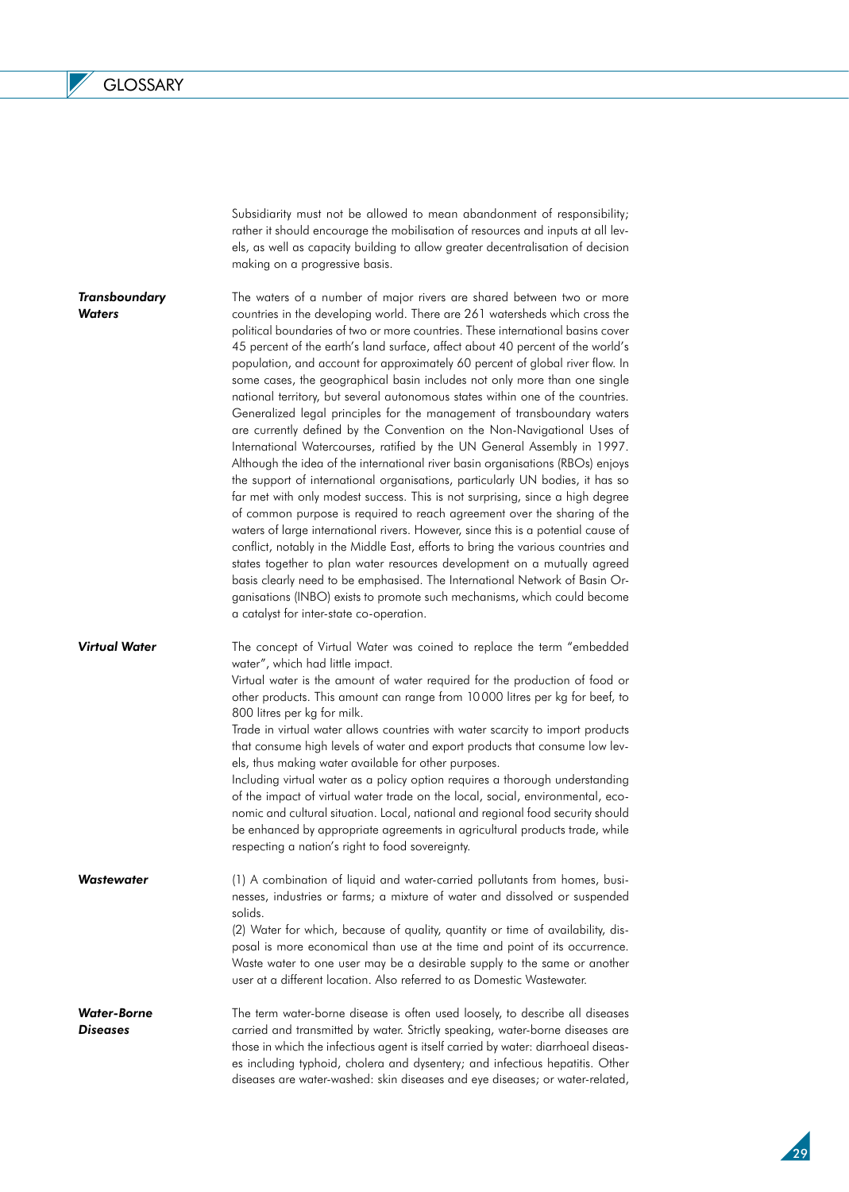$\overline{\mathscr{S}}$ 

|                                | Subsidiarity must not be allowed to mean abandonment of responsibility;<br>rather it should encourage the mobilisation of resources and inputs at all lev-<br>els, as well as capacity building to allow greater decentralisation of decision<br>making on a progressive basis.                                                                                                                                                                                                                                                                                                                                                                                                                                                                                                                                                                                                                                                                                                                                                                                                                                                                                                                                                                                                                                                                                                                                                                                                                                                                                                                         |
|--------------------------------|---------------------------------------------------------------------------------------------------------------------------------------------------------------------------------------------------------------------------------------------------------------------------------------------------------------------------------------------------------------------------------------------------------------------------------------------------------------------------------------------------------------------------------------------------------------------------------------------------------------------------------------------------------------------------------------------------------------------------------------------------------------------------------------------------------------------------------------------------------------------------------------------------------------------------------------------------------------------------------------------------------------------------------------------------------------------------------------------------------------------------------------------------------------------------------------------------------------------------------------------------------------------------------------------------------------------------------------------------------------------------------------------------------------------------------------------------------------------------------------------------------------------------------------------------------------------------------------------------------|
| Transboundary<br><b>Waters</b> | The waters of a number of major rivers are shared between two or more<br>countries in the developing world. There are 261 watersheds which cross the<br>political boundaries of two or more countries. These international basins cover<br>45 percent of the earth's land surface, affect about 40 percent of the world's<br>population, and account for approximately 60 percent of global river flow. In<br>some cases, the geographical basin includes not only more than one single<br>national territory, but several autonomous states within one of the countries.<br>Generalized legal principles for the management of transboundary waters<br>are currently defined by the Convention on the Non-Navigational Uses of<br>International Watercourses, ratified by the UN General Assembly in 1997.<br>Although the idea of the international river basin organisations (RBOs) enjoys<br>the support of international organisations, particularly UN bodies, it has so<br>far met with only modest success. This is not surprising, since a high degree<br>of common purpose is required to reach agreement over the sharing of the<br>waters of large international rivers. However, since this is a potential cause of<br>conflict, notably in the Middle East, efforts to bring the various countries and<br>states together to plan water resources development on a mutually agreed<br>basis clearly need to be emphasised. The International Network of Basin Or-<br>ganisations (INBO) exists to promote such mechanisms, which could become<br>a catalyst for inter-state co-operation. |
| Virtual Water                  | The concept of Virtual Water was coined to replace the term "embedded<br>water", which had little impact.<br>Virtual water is the amount of water required for the production of food or<br>other products. This amount can range from 10000 litres per kg for beef, to<br>800 litres per kg for milk.<br>Trade in virtual water allows countries with water scarcity to import products<br>that consume high levels of water and export products that consume low lev-<br>els, thus making water available for other purposes.<br>Including virtual water as a policy option requires a thorough understanding<br>of the impact of virtual water trade on the local, social, environmental, eco-<br>nomic and cultural situation. Local, national and regional food security should<br>be enhanced by appropriate agreements in agricultural products trade, while<br>respecting a nation's right to food sovereignty.                                                                                                                                                                                                                                                                                                                                                                                                                                                                                                                                                                                                                                                                                 |
| Wastewater                     | (1) A combination of liquid and water-carried pollutants from homes, busi-<br>nesses, industries or farms; a mixture of water and dissolved or suspended<br>solids.<br>(2) Water for which, because of quality, quantity or time of availability, dis-<br>posal is more economical than use at the time and point of its occurrence.<br>Waste water to one user may be a desirable supply to the same or another<br>user at a different location. Also referred to as Domestic Wastewater.                                                                                                                                                                                                                                                                                                                                                                                                                                                                                                                                                                                                                                                                                                                                                                                                                                                                                                                                                                                                                                                                                                              |
| Water-Borne<br>Diseases        | The term water-borne disease is often used loosely, to describe all diseases<br>carried and transmitted by water. Strictly speaking, water-borne diseases are<br>those in which the infectious agent is itself carried by water: diarrhoeal diseas-<br>es including typhoid, cholera and dysentery; and infectious hepatitis. Other<br>diseases are water-washed: skin diseases and eye diseases; or water-related,                                                                                                                                                                                                                                                                                                                                                                                                                                                                                                                                                                                                                                                                                                                                                                                                                                                                                                                                                                                                                                                                                                                                                                                     |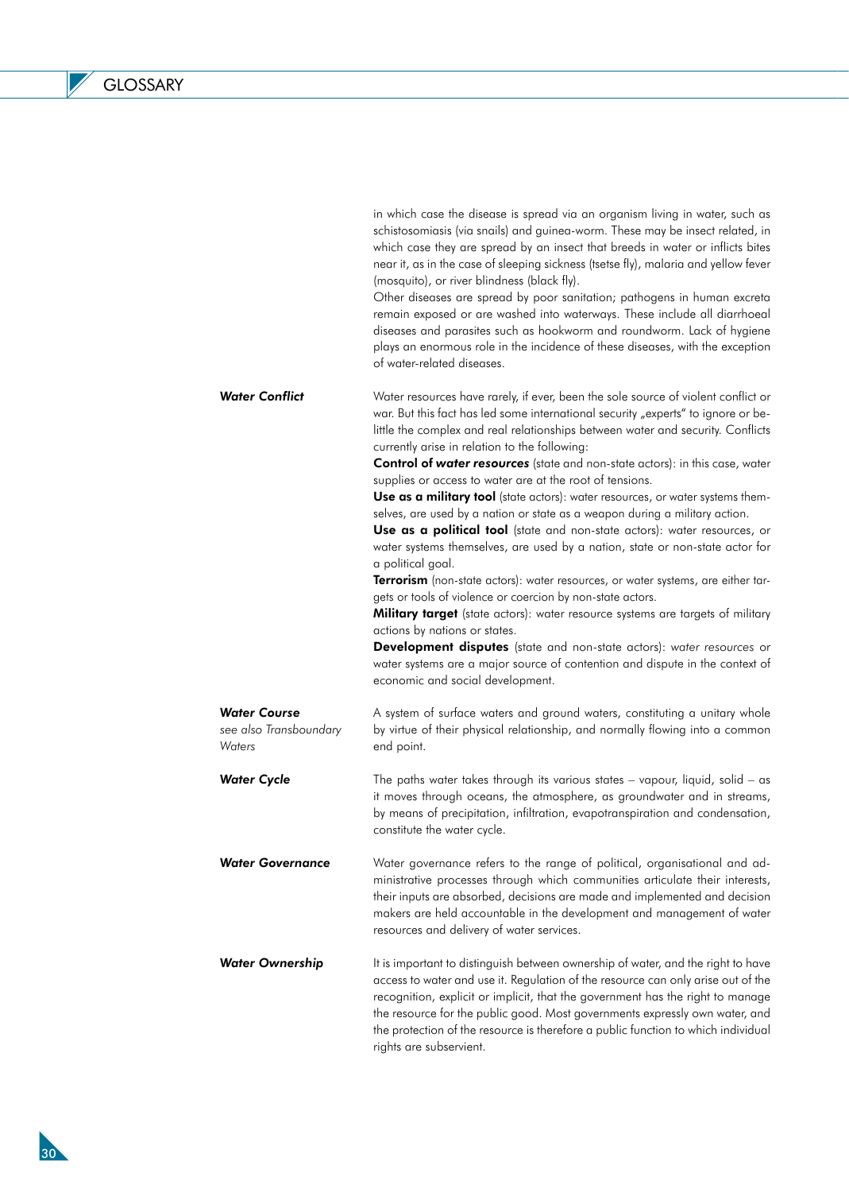$\mathbb{Z}$ 

|                                                         | schistosomiasis (via snails) and guinea-worm. These may be insect related, in<br>which case they are spread by an insect that breeds in water or inflicts bites<br>near it, as in the case of sleeping sickness (tsetse fly), malaria and yellow fever<br>(mosquito), or river blindness (black fly).<br>Other diseases are spread by poor sanitation; pathogens in human excreta<br>remain exposed or are washed into waterways. These include all diarrhoeal<br>diseases and parasites such as hookworm and roundworm. Lack of hygiene<br>plays an enormous role in the incidence of these diseases, with the exception<br>of water-related diseases.                                                                                                                                                                                                                                                                                                                                                                                                                                                                                                                                                                                                                                   |
|---------------------------------------------------------|-------------------------------------------------------------------------------------------------------------------------------------------------------------------------------------------------------------------------------------------------------------------------------------------------------------------------------------------------------------------------------------------------------------------------------------------------------------------------------------------------------------------------------------------------------------------------------------------------------------------------------------------------------------------------------------------------------------------------------------------------------------------------------------------------------------------------------------------------------------------------------------------------------------------------------------------------------------------------------------------------------------------------------------------------------------------------------------------------------------------------------------------------------------------------------------------------------------------------------------------------------------------------------------------|
| <b>Water Conflict</b>                                   | Water resources have rarely, if ever, been the sole source of violent conflict or<br>war. But this fact has led some international security "experts" to ignore or be-<br>little the complex and real relationships between water and security. Conflicts<br>currently arise in relation to the following:<br><b>Control of water resources</b> (state and non-state actors): in this case, water<br>supplies or access to water are at the root of tensions.<br>Use as a military tool (state actors): water resources, or water systems them-<br>selves, are used by a nation or state as a weapon during a military action.<br>Use as a political tool (state and non-state actors): water resources, or<br>water systems themselves, are used by a nation, state or non-state actor for<br>a political goal.<br>Terrorism (non-state actors): water resources, or water systems, are either tar-<br>gets or tools of violence or coercion by non-state actors.<br>Military target (state actors): water resource systems are targets of military<br>actions by nations or states.<br><b>Development disputes</b> (state and non-state actors): water resources or<br>water systems are a major source of contention and dispute in the context of<br>economic and social development. |
| <b>Water Course</b><br>see also Transboundary<br>Waters | A system of surface waters and ground waters, constituting a unitary whole<br>by virtue of their physical relationship, and normally flowing into a common<br>end point.                                                                                                                                                                                                                                                                                                                                                                                                                                                                                                                                                                                                                                                                                                                                                                                                                                                                                                                                                                                                                                                                                                                  |
| <b>Water Cycle</b>                                      | The paths water takes through its various states - vapour, liquid, solid - as<br>it moves through oceans, the atmosphere, as groundwater and in streams,<br>by means of precipitation, infiltration, evapotranspiration and condensation,<br>constitute the water cycle.                                                                                                                                                                                                                                                                                                                                                                                                                                                                                                                                                                                                                                                                                                                                                                                                                                                                                                                                                                                                                  |
| <b>Water Governance</b>                                 | Water governance refers to the range of political, organisational and ad-<br>ministrative processes through which communities articulate their interests,<br>their inputs are absorbed, decisions are made and implemented and decision<br>makers are held accountable in the development and management of water<br>resources and delivery of water services.                                                                                                                                                                                                                                                                                                                                                                                                                                                                                                                                                                                                                                                                                                                                                                                                                                                                                                                            |
| <b>Water Ownership</b>                                  | It is important to distinguish between ownership of water, and the right to have<br>access to water and use it. Regulation of the resource can only arise out of the<br>recognition, explicit or implicit, that the government has the right to manage<br>the resource for the public good. Most governments expressly own water, and<br>the protection of the resource is therefore a public function to which individual<br>rights are subservient.                                                                                                                                                                                                                                                                                                                                                                                                                                                                                                                                                                                                                                                                                                                                                                                                                                     |

in which case the disease is spread via an organism living in water, such as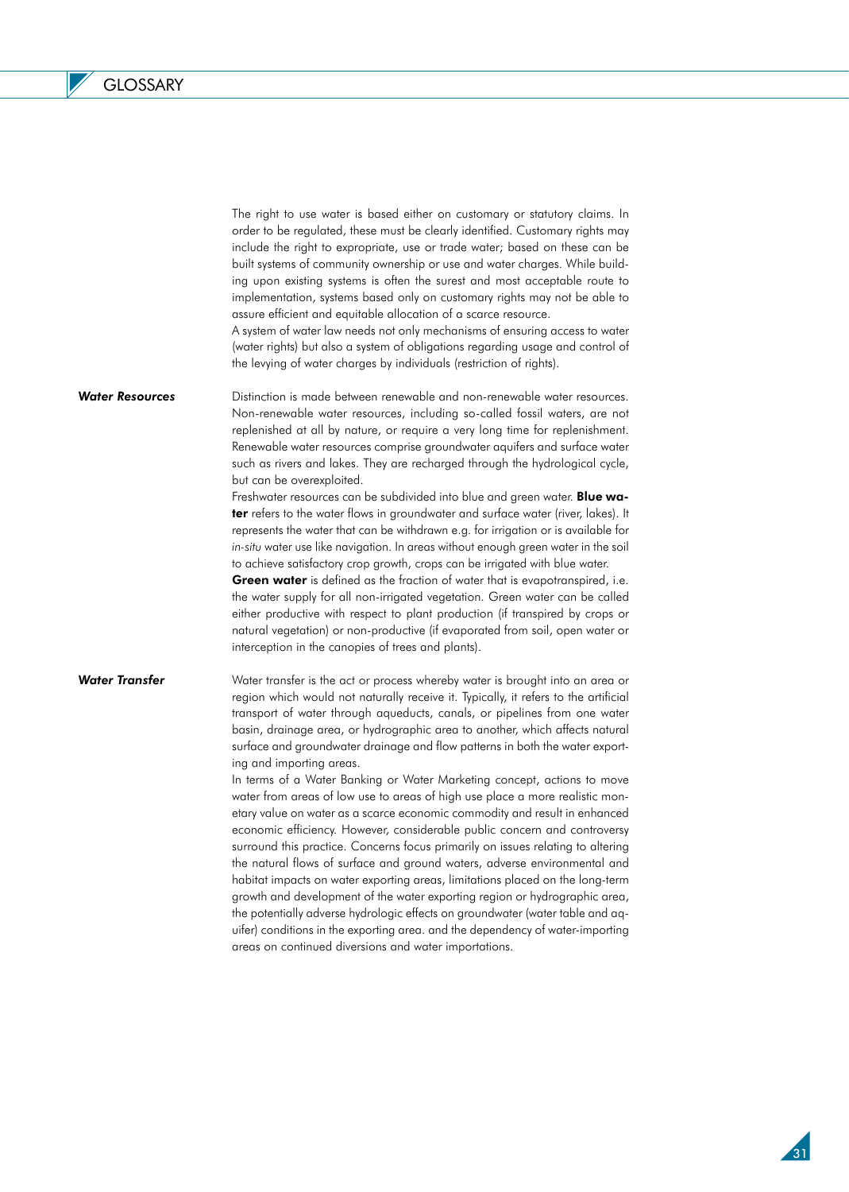The right to use water is based either on customary or statutory claims. In order to be regulated, these must be clearly identified. Customary rights may include the right to expropriate, use or trade water; based on these can be built systems of community ownership or use and water charges. While building upon existing systems is often the surest and most acceptable route to implementation, systems based only on customary rights may not be able to assure efficient and equitable allocation of a scarce resource.

A system of water law needs not only mechanisms of ensuring access to water (water rights) but also a system of obligations regarding usage and control of the levying of water charges by individuals (restriction of rights).

*Water Resources*  Distinction is made between renewable and non-renewable water resources. Non-renewable water resources, including so-called fossil waters, are not replenished at all by nature, or require a very long time for replenishment. Renewable water resources comprise groundwater aquifers and surface water such as rivers and lakes. They are recharged through the hydrological cycle, but can be overexploited.

> Freshwater resources can be subdivided into blue and green water. Blue water refers to the water flows in groundwater and surface water (river, lakes). It represents the water that can be withdrawn e.g. for irrigation or is available for *in-situ* water use like navigation. In areas without enough green water in the soil to achieve satisfactory crop growth, crops can be irrigated with blue water.

> Green water is defined as the fraction of water that is evapotranspired, i.e. the water supply for all non-irrigated vegetation. Green water can be called either productive with respect to plant production (if transpired by crops or natural vegetation) or non-productive (if evaporated from soil, open water or interception in the canopies of trees and plants).

*Water Transfer*

Water transfer is the act or process whereby water is brought into an area or region which would not naturally receive it. Typically, it refers to the artificial transport of water through aqueducts, canals, or pipelines from one water basin, drainage area, or hydrographic area to another, which affects natural surface and groundwater drainage and flow patterns in both the water exporting and importing areas.

In terms of a Water Banking or Water Marketing concept, actions to move water from areas of low use to areas of high use place a more realistic monetary value on water as a scarce economic commodity and result in enhanced economic efficiency. However, considerable public concern and controversy surround this practice. Concerns focus primarily on issues relating to altering the natural flows of surface and ground waters, adverse environmental and habitat impacts on water exporting areas, limitations placed on the long-term growth and development of the water exporting region or hydrographic area, the potentially adverse hydrologic effects on groundwater (water table and aquifer) conditions in the exporting area. and the dependency of water-importing areas on continued diversions and water importations.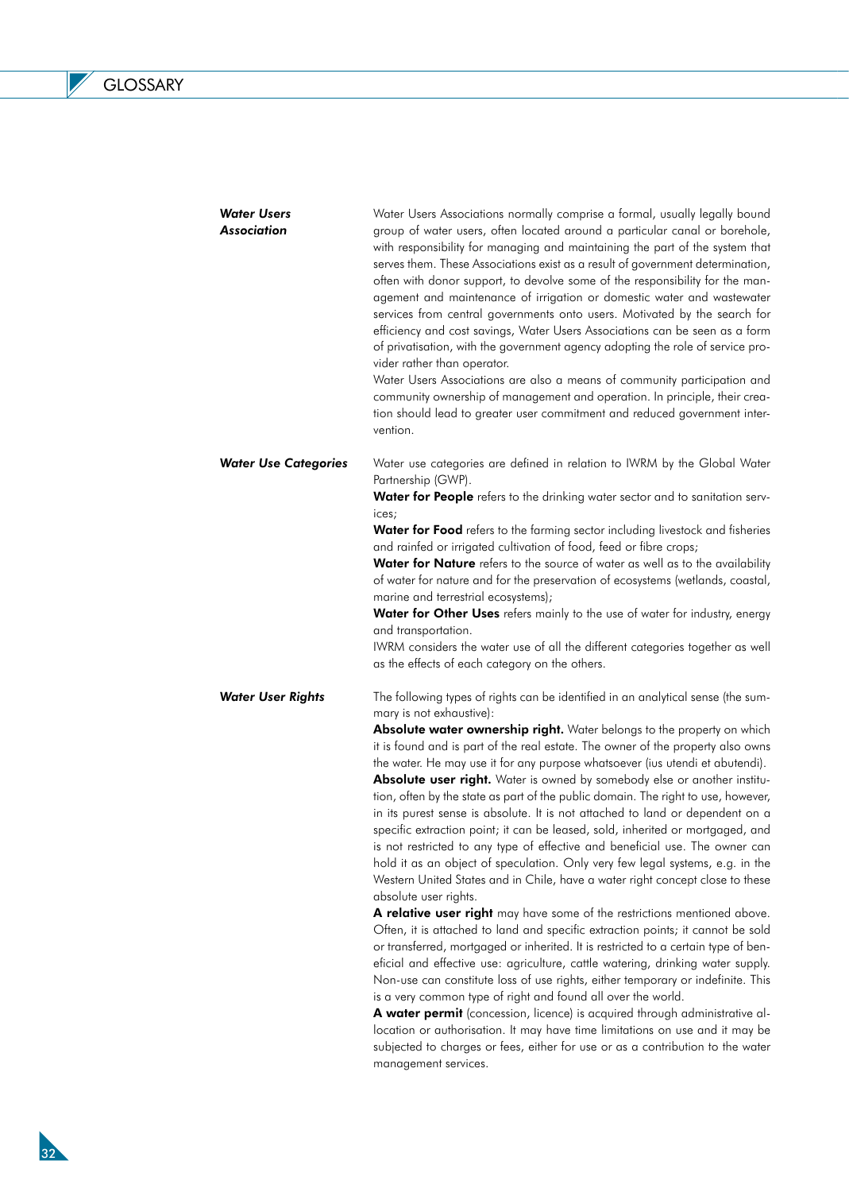L

| <b>Water Users</b><br><b>Association</b> | Water Users Associations normally comprise a formal, usually legally bound<br>group of water users, often located around a particular canal or borehole,<br>with responsibility for managing and maintaining the part of the system that<br>serves them. These Associations exist as a result of government determination,<br>often with donor support, to devolve some of the responsibility for the man-<br>agement and maintenance of irrigation or domestic water and wastewater<br>services from central governments onto users. Motivated by the search for<br>efficiency and cost savings, Water Users Associations can be seen as a form<br>of privatisation, with the government agency adopting the role of service pro-<br>vider rather than operator.<br>Water Users Associations are also a means of community participation and<br>community ownership of management and operation. In principle, their crea-<br>tion should lead to greater user commitment and reduced government inter-<br>vention. |
|------------------------------------------|----------------------------------------------------------------------------------------------------------------------------------------------------------------------------------------------------------------------------------------------------------------------------------------------------------------------------------------------------------------------------------------------------------------------------------------------------------------------------------------------------------------------------------------------------------------------------------------------------------------------------------------------------------------------------------------------------------------------------------------------------------------------------------------------------------------------------------------------------------------------------------------------------------------------------------------------------------------------------------------------------------------------|
| <b>Water Use Categories</b>              | Water use categories are defined in relation to IWRM by the Global Water<br>Partnership (GWP).                                                                                                                                                                                                                                                                                                                                                                                                                                                                                                                                                                                                                                                                                                                                                                                                                                                                                                                       |
|                                          | Water for People refers to the drinking water sector and to sanitation serv-<br>ices;                                                                                                                                                                                                                                                                                                                                                                                                                                                                                                                                                                                                                                                                                                                                                                                                                                                                                                                                |
|                                          | Water for Food refers to the farming sector including livestock and fisheries<br>and rainfed or irrigated cultivation of food, feed or fibre crops;<br>Water for Nature refers to the source of water as well as to the availability<br>of water for nature and for the preservation of ecosystems (wetlands, coastal,                                                                                                                                                                                                                                                                                                                                                                                                                                                                                                                                                                                                                                                                                               |
|                                          | marine and terrestrial ecosystems);                                                                                                                                                                                                                                                                                                                                                                                                                                                                                                                                                                                                                                                                                                                                                                                                                                                                                                                                                                                  |
|                                          | Water for Other Uses refers mainly to the use of water for industry, energy<br>and transportation.                                                                                                                                                                                                                                                                                                                                                                                                                                                                                                                                                                                                                                                                                                                                                                                                                                                                                                                   |
|                                          | IWRM considers the water use of all the different categories together as well<br>as the effects of each category on the others.                                                                                                                                                                                                                                                                                                                                                                                                                                                                                                                                                                                                                                                                                                                                                                                                                                                                                      |
| <b>Water User Rights</b>                 | The following types of rights can be identified in an analytical sense (the sum-<br>mary is not exhaustive):                                                                                                                                                                                                                                                                                                                                                                                                                                                                                                                                                                                                                                                                                                                                                                                                                                                                                                         |
|                                          | Absolute water ownership right. Water belongs to the property on which<br>it is found and is part of the real estate. The owner of the property also owns<br>the water. He may use it for any purpose whatsoever (ius utendi et abutendi).<br>Absolute user right. Water is owned by somebody else or another institu-<br>tion, often by the state as part of the public domain. The right to use, however,<br>in its purest sense is absolute. It is not attached to land or dependent on a<br>specific extraction point; it can be leased, sold, inherited or mortgaged, and<br>is not restricted to any type of effective and beneficial use. The owner can<br>hold it as an object of speculation. Only very few legal systems, e.g. in the<br>Western United States and in Chile, have a water right concept close to these<br>absolute user rights.                                                                                                                                                            |
|                                          | A relative user right may have some of the restrictions mentioned above.<br>Often, it is attached to land and specific extraction points; it cannot be sold<br>or transferred, mortgaged or inherited. It is restricted to a certain type of ben-<br>eficial and effective use: agriculture, cattle watering, drinking water supply.<br>Non-use can constitute loss of use rights, either temporary or indefinite. This<br>is a very common type of right and found all over the world.<br>A water permit (concession, licence) is acquired through administrative al-<br>location or authorisation. It may have time limitations on use and it may be<br>subjected to charges or fees, either for use or as a contribution to the water                                                                                                                                                                                                                                                                             |

management services.